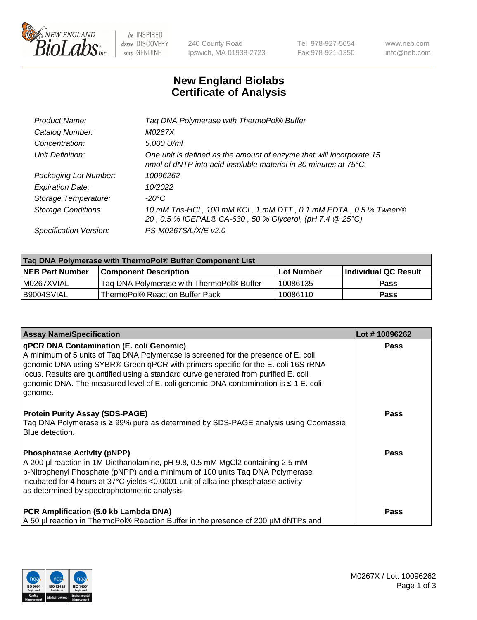

be INSPIRED drive DISCOVERY stay GENUINE

240 County Road Ipswich, MA 01938-2723 Tel 978-927-5054 Fax 978-921-1350 www.neb.com info@neb.com

## **New England Biolabs Certificate of Analysis**

| Tag DNA Polymerase with ThermoPol® Buffer                                                                                                |
|------------------------------------------------------------------------------------------------------------------------------------------|
| M0267X                                                                                                                                   |
| 5,000 U/ml                                                                                                                               |
| One unit is defined as the amount of enzyme that will incorporate 15<br>nmol of dNTP into acid-insoluble material in 30 minutes at 75°C. |
| 10096262                                                                                                                                 |
| 10/2022                                                                                                                                  |
| $-20^{\circ}$ C                                                                                                                          |
| 10 mM Tris-HCl, 100 mM KCl, 1 mM DTT, 0.1 mM EDTA, 0.5 % Tween®<br>20, 0.5 % IGEPAL® CA-630, 50 % Glycerol, (pH 7.4 @ 25°C)              |
| PS-M0267S/L/X/E v2.0                                                                                                                     |
|                                                                                                                                          |

| Tag DNA Polymerase with ThermoPol® Buffer Component List |                                           |            |                        |  |
|----------------------------------------------------------|-------------------------------------------|------------|------------------------|--|
| <b>NEB Part Number</b>                                   | <b>Component Description</b>              | Lot Number | l Individual QC Result |  |
| I M0267XVIAL                                             | Tag DNA Polymerase with ThermoPol® Buffer | 10086135   | Pass                   |  |
| B9004SVIAL                                               | ThermoPol® Reaction Buffer Pack_          | 10086110   | Pass                   |  |

| <b>Assay Name/Specification</b>                                                                                                                                                                                                                                                                                                                                                                                           | Lot #10096262 |
|---------------------------------------------------------------------------------------------------------------------------------------------------------------------------------------------------------------------------------------------------------------------------------------------------------------------------------------------------------------------------------------------------------------------------|---------------|
| <b>qPCR DNA Contamination (E. coli Genomic)</b><br>A minimum of 5 units of Taq DNA Polymerase is screened for the presence of E. coli<br>genomic DNA using SYBR® Green qPCR with primers specific for the E. coli 16S rRNA<br>locus. Results are quantified using a standard curve generated from purified E. coli<br>genomic DNA. The measured level of E. coli genomic DNA contamination is $\leq 1$ E. coli<br>genome. | Pass          |
| <b>Protein Purity Assay (SDS-PAGE)</b><br>Taq DNA Polymerase is ≥ 99% pure as determined by SDS-PAGE analysis using Coomassie<br>Blue detection.                                                                                                                                                                                                                                                                          | Pass          |
| <b>Phosphatase Activity (pNPP)</b><br>A 200 µl reaction in 1M Diethanolamine, pH 9.8, 0.5 mM MgCl2 containing 2.5 mM<br>$\vert$ p-Nitrophenyl Phosphate (pNPP) and a minimum of 100 units Taq DNA Polymerase<br>incubated for 4 hours at 37°C yields <0.0001 unit of alkaline phosphatase activity<br>as determined by spectrophotometric analysis.                                                                       | Pass          |
| PCR Amplification (5.0 kb Lambda DNA)<br>A 50 µl reaction in ThermoPol® Reaction Buffer in the presence of 200 µM dNTPs and                                                                                                                                                                                                                                                                                               | Pass          |

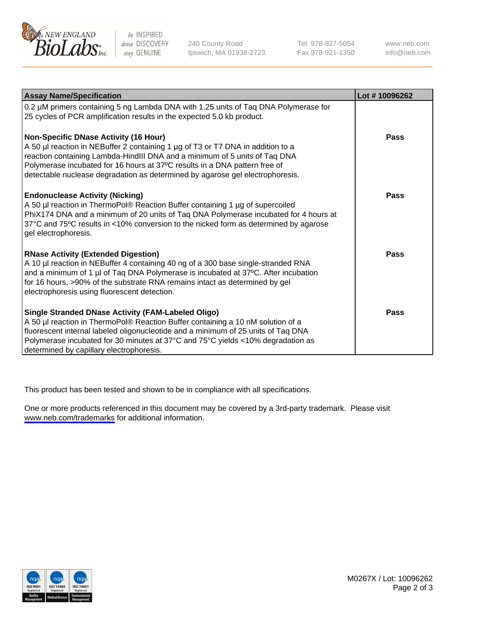

be INSPIRED drive DISCOVERY stay GENUINE

240 County Road Ipswich, MA 01938-2723 Tel 978-927-5054 Fax 978-921-1350

www.neb.com info@neb.com

| <b>Assay Name/Specification</b>                                                                                                                                                                                                                                                                                                                                       | Lot #10096262 |
|-----------------------------------------------------------------------------------------------------------------------------------------------------------------------------------------------------------------------------------------------------------------------------------------------------------------------------------------------------------------------|---------------|
| 0.2 µM primers containing 5 ng Lambda DNA with 1.25 units of Taq DNA Polymerase for<br>25 cycles of PCR amplification results in the expected 5.0 kb product.                                                                                                                                                                                                         |               |
| Non-Specific DNase Activity (16 Hour)<br>A 50 µl reaction in NEBuffer 2 containing 1 µg of T3 or T7 DNA in addition to a<br>reaction containing Lambda-HindIII DNA and a minimum of 5 units of Taq DNA<br>Polymerase incubated for 16 hours at 37°C results in a DNA pattern free of<br>detectable nuclease degradation as determined by agarose gel electrophoresis. | Pass          |
| <b>Endonuclease Activity (Nicking)</b><br>A 50 µl reaction in ThermoPol® Reaction Buffer containing 1 µg of supercoiled<br>PhiX174 DNA and a minimum of 20 units of Taq DNA Polymerase incubated for 4 hours at<br>37°C and 75°C results in <10% conversion to the nicked form as determined by agarose<br>gel electrophoresis.                                       | Pass          |
| <b>RNase Activity (Extended Digestion)</b><br>A 10 µl reaction in NEBuffer 4 containing 40 ng of a 300 base single-stranded RNA<br>and a minimum of 1 µl of Taq DNA Polymerase is incubated at 37°C. After incubation<br>for 16 hours, >90% of the substrate RNA remains intact as determined by gel<br>electrophoresis using fluorescent detection.                  | Pass          |
| Single Stranded DNase Activity (FAM-Labeled Oligo)<br>A 50 µl reaction in ThermoPol® Reaction Buffer containing a 10 nM solution of a<br>fluorescent internal labeled oligonucleotide and a minimum of 25 units of Taq DNA<br>Polymerase incubated for 30 minutes at 37°C and 75°C yields <10% degradation as<br>determined by capillary electrophoresis.             | Pass          |

This product has been tested and shown to be in compliance with all specifications.

One or more products referenced in this document may be covered by a 3rd-party trademark. Please visit <www.neb.com/trademarks>for additional information.